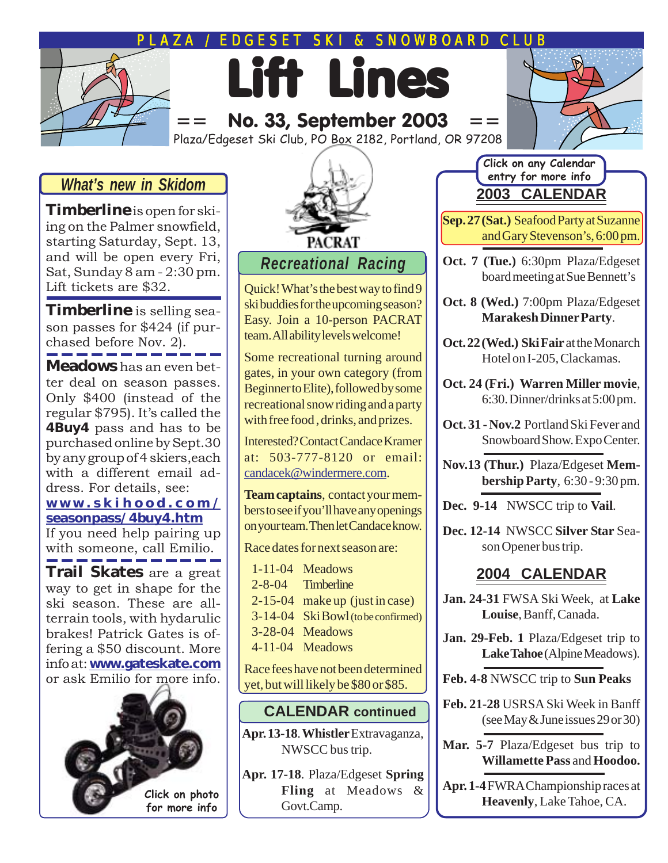# **EDGESET SKI & SNOWBOARD CLUB**

Lift Lines No. 33, September 2003

Plaza/Edgeset Ski Club, PO Box 2182, Portland, OR 97208



**Timberline** is open for skiing on the Palmer snowfield, starting Saturday, Sept. 13, and will be open every Fri, Sat, Sunday 8 am - 2:30 pm. Lift tickets are \$32.

**Timberline** is selling season passes for \$424 (if purchased before Nov. 2).

**Meadows** has an even better deal on season passes. Only \$400 (instead of the regular \$795). It's called the **4Buy4** pass and has to be purchased online by Sept.30 by any group of 4 skiers,each with a different email address. For details, see:

#### **[www.skihood.com/](http://www.skihood.com/seasonpass/4buy4.htm) [seasonpass/4buy4.htm](http://www.skihood.com/seasonpass/4buy4.htm)**

If you need help pairing up with someone, call Emilio.

**Trail Skates** are a great way to get in shape for the ski season. These are allterrain tools, with hydarulic brakes! Patrick Gates is offering a \$50 discount. More info at: **[www.gateskate.com](http://www.gateskate.com)** o[r ask Emilio for more info](http://www.gateskate.com).





#### *Recreational Racing*

Quick! What's the best way to find 9 ski buddies for the upcoming season? Easy. Join a 10-person PACRAT team. All ability levels welcome!

Some recreational turning around gates, in your own category (from Beginner to Elite), followed by some recreational snow riding and a party with free food , drinks, and prizes.

Interested? Contact Candace Kramer at: 503-777-8120 or email: [candacek@windermere.com.](mailto:candacek@windermere.com)

**Team captains**, contact your members to see if you'll have any openings on your team. Then let Candace know.

Race dates for next season are:

1-11-04 Meadows 2-8-04 Timberline 2-15-04 make up (just in case) 3-14-04 Ski Bowl (to be confirmed) 3-28-04 Meadows 4-11-04 Meadows

Race fees have not been determined yet, but will likely be \$80 or \$85.

#### **CALENDAR continued**

**Apr. 13-18**. **Whistler** [Extravaganza,](http://www.nwskiers.org/event/skibash/index.htm) [NWSCC bus trip.](http://www.nwskiers.org/event/skibash/index.htm)

**Apr. 17-18**. Plaza/Edgeset **Spring Fling** at Meadows & Govt.Camp.

#### **2003 CALENDAR Click on any Calendar entry for more info**

**Sep. 27 (Sat.)** [Seafood Party at Suzanne](#page-2-0) [and Gary Stevenson's, 6:00 pm.](#page-2-0)

**Oct. 7 (Tue.)** 6:30pm Plaza/Edgeset board meeting at Sue Bennett's

**Oct. 8 (Wed.)** [7:00pm Plaza/Edgeset](http://marrakesh.citysearch.com/) **[Marakesh Dinner Party](http://marrakesh.citysearch.com/)**.

- **Oct. 22 (Wed.) Ski Fair** at the Monarch Hotel on I-205, Clackamas.
- **[Oct. 24 \(Fri.\) Warren Miller movie](http://www.ticketmaster.com/artist/881652)**, [6:30. Dinner/drinks at 5:00 pm.](http://www.ticketmaster.com/artist/881652)
- **Oct. 31 Nov.2** Portland Ski Fever and Snowboard Show. Expo Center.

**Nov.13 (Thur.)** Plaza/Edgeset **Membership Party**, 6:30 - 9:30 pm.

**Dec. 9-14** [NWSCC trip to](http://www.nwskiers.org/event/03vail/index.htm) **Vail**.

**[Dec. 12-14](http://www.nwskiers.org/event/silverstar/index.htm)** NWSCC **Silver Star** Sea[son Opener bus trip.](http://www.nwskiers.org/event/silverstar/index.htm)

#### **2004 CALENDAR**

- **Jan. 24-31** [FWSA Ski Week, at](http://www.fwsa.org/index.php?action=view_category&cat_id=1052861971) **Lake Louise**[, Banff, Canada.](http://www.fwsa.org/index.php?action=view_category&cat_id=1052861971)
- **Jan. 29-Feb. 1** [Plaza/Edgeset trip to](http://www.skialpine.com/) Lake Tahoe [\(Alpine Meadows\).](http://www.skialpine.com/)

**Feb. 4-8** [NWSCC trip to](http://www.sunpeaksresort.com/) **Sun Peaks**

- **Feb. 21-28** [USRSA Ski Week in Banff](http://www.skiusrsa.com/Main/banff.htm) [\(see May & June issues 29 or 30\)](http://www.skiusrsa.com/Main/banff.htm)
- **Mar. 5-7** Plaza/Edgeset bus trip to **[Willamette Pass](http://www.willamettepass.com/mountain/area.html)** and **[Hoodoo](http://www.hoodoo.com/Ski%20Season%20front%20page.htm).**

**Apr. 1-4** [FWRA Championship races at](http://www.fwra.com/Results/FWRA%20Championships.htm) **Heavenly**[, Lake Tahoe, CA.](http://www.fwra.com/Results/FWRA%20Championships.htm)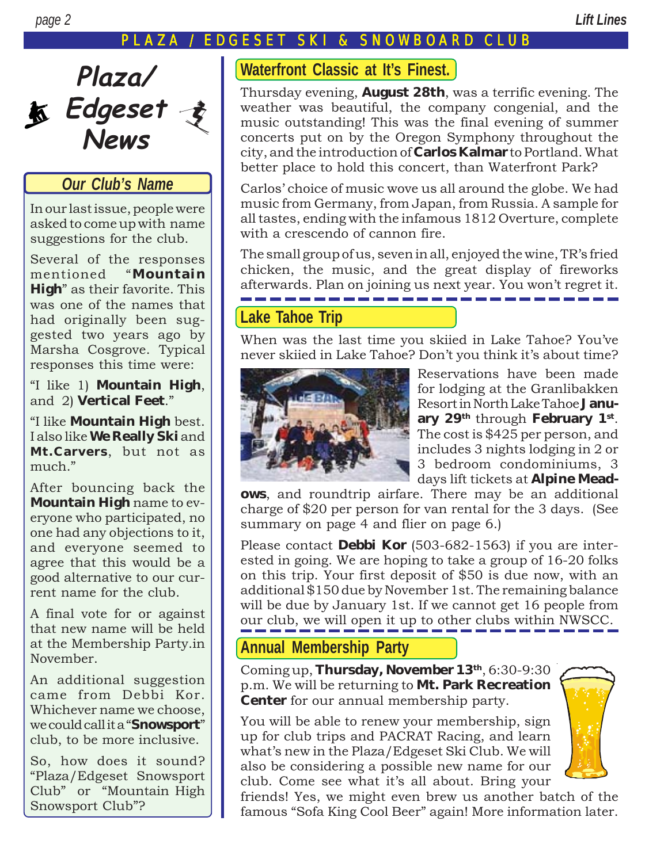#### AZA / EDGESET SKI & SNOWBOARD CLUB



#### *Our Club's Name*

In our last issue, people were asked to come up with name suggestions for the club.

Several of the responses mentioned "Mountain **High**" as their favorite. This was one of the names that had originally been suggested two years ago by Marsha Cosgrove. Typical responses this time were:

ìI like 1) **Mountain High**, and 2) **Vertical Feet**.<sup>"</sup>

ìI like **Mountain High** best. I also like **We Really Ski** and **Mt.Carvers**, but not as much."

After bouncing back the **Mountain High** name to everyone who participated, no one had any objections to it, and everyone seemed to agree that this would be a good alternative to our current name for the club.

A final vote for or against that new name will be held at the Membership Party.in November.

An additional suggestion came from Debbi Kor. Whichever name we choose, we could call it a "**Snowsport**" club, to be more inclusive.

So, how does it sound? ìPlaza/Edgeset Snowsport Club" or "Mountain High Snowsport Club"?

#### **Waterfront Classic at It's Finest.**

Thursday evening, **August 28th**, was a terrific evening. The weather was beautiful, the company congenial, and the music outstanding! This was the final evening of summer concerts put on by the Oregon Symphony throughout the city, and the introduction of **Carlos Kalmar** to Portland. What better place to hold this concert, than Waterfront Park?

Carlos' choice of music wove us all around the globe. We had music from Germany, from Japan, from Russia. A sample for all tastes, ending with the infamous 1812 Overture, complete with a crescendo of cannon fire.

The small group of us, seven in all, enjoyed the wine, TR's fried chicken, the music, and the great display of fireworks afterwards. Plan on joining us next year. You won't regret it.

#### **[Lake Tahoe Trip](http://www.skialpine.com/)**

When was the last time you skiied in Lake Tahoe? Youíve never skiied in Lake Tahoe? Don't you think it's about time?



Reservations have been made for lodging at the Granlibakken Resort in North Lake Tahoe **January 29th** through **February 1st**. The cost is \$425 per person, and includes 3 nights lodging in 2 or 3 bedroom condominiums, 3 days lift tickets at **[Alpine Mead-](http://www.skialpine.com/)**

**[ows](http://www.skialpine.com/)**, and roundtrip airfare. There may be an additional charge of \$20 per person for van rental for the 3 days. (See summary on page 4 and flier on page 6.)

Please contact **[Debbi Kor](mailto:Ijustwannarun@aol.com)** (503-682-1563) if you are interested in going. We are hoping to take a group of 16-20 folks on this trip. Your first deposit of \$50 is due now, with an additional \$150 due by November 1st. The remaining balance will be due by January 1st. If we cannot get 16 people from our club, we will open it up to other clubs within NWSCC.

#### **Annual Membership Party**

Coming up, **Thursday, November 13th**, 6:30-9:30 p.m. We will be returning to **Mt. Park Recreation Center** for our annual membership party.

You will be able to renew your membership, sign up for club trips and PACRAT Racing, and learn what's new in the Plaza/Edgeset Ski Club. We will also be considering a possible new name for our club. Come see what it's all about. Bring your



friends! Yes, we might even brew us another batch of the famous "Sofa King Cool Beer" again! More information later.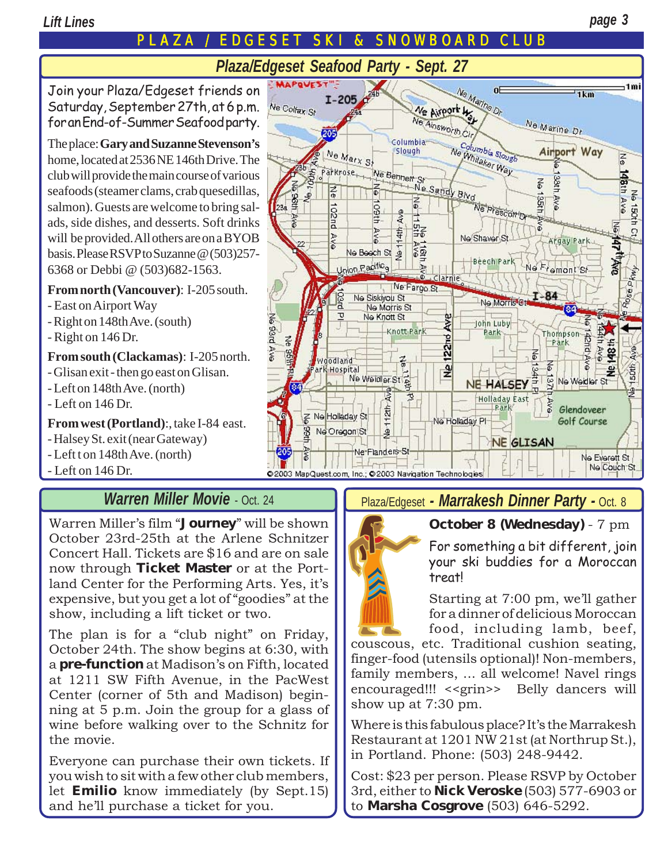# **EDGESET SKI & SNOWBOARD CLUB**

# *Plaza/Edgeset Seafood Party - Sept. 27*

<span id="page-2-0"></span>Join your Plaza/Edgeset friends on Saturday, September 27th, at 6 p.m. for an End-of-Summer Seafood party.

The place: **[Gary and Suzanne Stevenson's](mailto:suzanne.lewis@co.multnomah.or.us)** home, located at 2536 NE 146th Drive. The club will provide the main course of various seafoods (steamer clams, crab quesedillas, salmon). Guests are welcome to bring salads, side dishes, and desserts. Soft drinks will be provided. All others are on a BYOB basis. Please RSVP to Suzanne @ (503)257- 6368 or Debbi @ (503)682-1563.

#### **From north (Vancouver)**: I-205 south.

- East on Airport Way
- Right on 148th Ave. (south)
- Right on 146 Dr.
- **From south (Clackamas)**: I-205 north.
- Glisan exit then go east on Glisan.
- Left on 148th Ave. (north)
- Left on 146 Dr.

**From west (Portland)**:, take I-84 east.

- Halsey St. exit (near Gateway)
- Left t on 148th Ave. (north)
- Left on 146 Dr.

### *[Warren Miller Movie](http://www.ticketmaster.com/artist/881652)* - Oct. 24

Warren Miller's film "Journey" will be shown October 23rd-25th at the Arlene Schnitzer Concert Hall. Tickets are \$16 and are on sale now through **[Ticket Master](http://www.ticketmaster.com/artist/881652)** or at the Portland Center for the Performing Arts. Yes, it's expensive, but you get a lot of "goodies" at the show, including a lift ticket or two.

The plan is for a "club night" on Friday, October 24th. The show begins at 6:30, with a **pre-function** at Madison's on Fifth, located at 1211 SW Fifth Avenue, in the PacWest Center (corner of 5th and Madison) beginning at 5 p.m. Join the group for a glass of wine before walking over to the Schnitz for the movie.

Everyone can purchase their own tickets. If you wish to sit with a few other club members, let **[Emilio](mailto:Emilio2000@Earthlink.net)** know immediately (by Sept.15) and he'll purchase a ticket for you.



#### Plaza/Edgeset *[- Marrakesh Dinner Party -](http://marrakesh.citysearch.com/)* Oct. 8



#### **October 8 (Wednesday)** - 7 pm

For something a bit different, join your ski buddies for a Moroccan treat!

Starting at 7:00 pm, we'll gather for a dinner of delicious Moroccan food, including lamb, beef,

couscous, etc. Traditional cushion seating, finger-food (utensils optional)! Non-members, family members, ... all welcome! Navel rings encouraged!!! <<grin>> Belly dancers will show up at 7:30 pm.

Where is this fabulous place? It's the [Marrakesh](http://marrakesh.citysearch.com/) [Restaurant at 1201 NW 21st \(at Northrup St.](http://marrakesh.citysearch.com/)), in Portland. Phone: (503) 248-9442.

Cost: \$23 per person. Please RSVP by October 3rd, either to **Nick Veroske** (503) 577-6903 or to **Marsha Cosgrove** (503) 646-5292.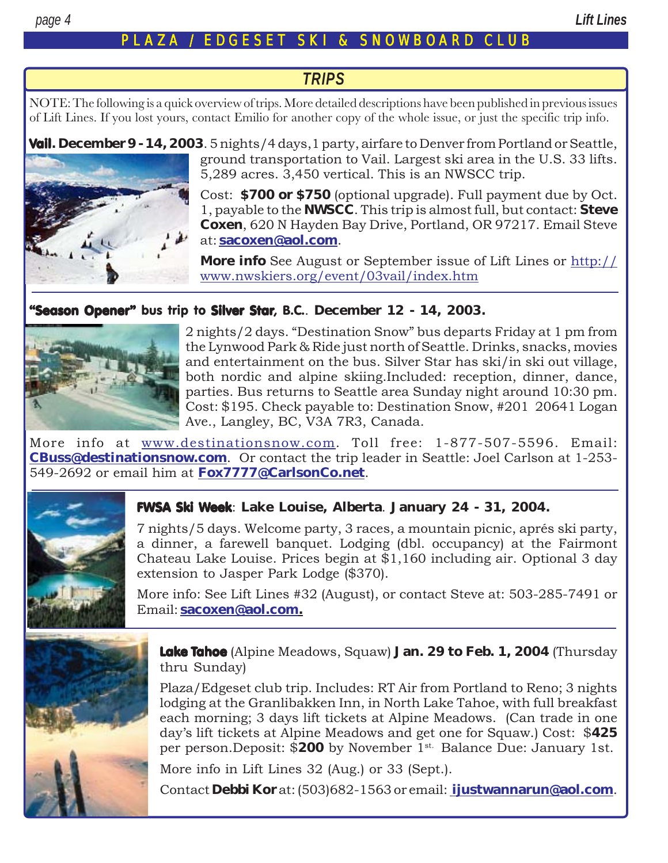#### PLAZA / EDGESET SKI & SNO WBO ARD CL U B

#### *TRIPS*

NOTE: The following is a quick overview of trips. More detailed descriptions have been published in previous issues of Lift Lines. If you lost yours, contact Emilio for another copy of the whole issue, or just the specific trip info.

Vail**[. December 9 - 14, 2003](http://www.nwskiers.org/event/03vail/index.htm)**. 5 nights/4 days,1 party, airfare to Denver from Portland or Seattle, ground transportation to Vail. Largest ski area in the U.S. 33 lifts. 5,289 acres. 3,450 vertical. This is an NWSCC trip.

> Cost: **\$700 or \$750** (optional upgrade). Full payment due by Oct. 1, payable to the **NWSCC**. This trip is almost full, but contact: **Steve Coxen**, 620 N Hayden Bay Drive, Portland, OR 97217. Email Steve at: **[sacoxen@aol.com](mailto:sacoxen@aol.com)**.

> **More info** See August or September issue of Lift Lines or [http://](http://www.nwskiers.org/event/03vail/index.htm) [www.nwskiers.org/event/03vail/index.htm](http://www.nwskiers.org/event/03vail/index.htm)

#### **"Season Opener"** bus trip to **Silver Star**, B.C.. December 12 - 14, 2003.



2 nights/2 days. "Destination Snow" bus departs Friday at 1 pm from the Lynwood Park & Ride just north of Seattle. Drinks, snacks, movies and entertainment on the bus. Silver Star has ski/in ski out village, both nordic and alpine skiing.Included: reception, dinner, dance, parties. Bus returns to Seattle area Sunday night around 10:30 pm. Cost: \$195. Check payable to: Destination Snow, #201 20641 Logan Ave., Langley, BC, V3A 7R3, Canada.

More info at [www.destinationsnow.com.](http://www.destinationsnow.com) Toll free: 1-877-507-5596. Email: **[CBuss@destinationsnow.com](mailto:CBuss@destinationsnow.com)**. Or contact the trip leader in Seattle: Joel Carlson at 1-253- 549-2692 or email him at **[Fox7777@CarlsonCo.net](mailto: Fox7777@CarlsonCo.net)**.



#### FWSA Ski Week: **Lake Louise, Alberta**. **[January 24 - 31, 2004.](http://www.fwsa.org/index.php?action=view_category&cat_id=1052861971)**

7 nights/5 days. Welcome party, 3 races, a mountain picnic, aprés ski party, a dinner, a farewell banquet. Lodging (dbl. occupancy) at the Fairmont Chateau Lake Louise. Prices begin at \$1,160 including air. Optional 3 day extension to Jasper Park Lodge (\$370).

More info: See Lift Lines #32 (August), or contact Steve at: 503-285-7491 or Email: **[sacoxen@aol.com](mailto:sacoxen@aol.com).**



Lake Tahoe ([Alpine Meadows, S](http://www.skialpine.com/)quaw) **Jan. 29 to Feb. 1, 2004** (Thursday thru Sunday)

Plaza/Edgeset club trip. Includes: RT Air from Portland to Reno; 3 nights lodging at the [Granlibakken Inn](http://www.granlibakken.com/about/about_index.html), in North Lake Tahoe, with full breakfast each morning; 3 days lift tickets at Alpine Meadows. (Can trade in one dayís lift tickets at Alpine Meadows and get one for Squaw.) Cost: \$**425** per person.Deposit: \$**200** by November 1st. Balance Due: January 1st.

More info in Lift Lines 32 (Aug.) or 33 (Sept.).

Contact **[Debbi Kor](mailto:Ijustwannarun@aol.com)** at: (503)682-1563 or email: **[ijustwannarun@aol.com](mailto:Ijustwannarun@aol.com)**.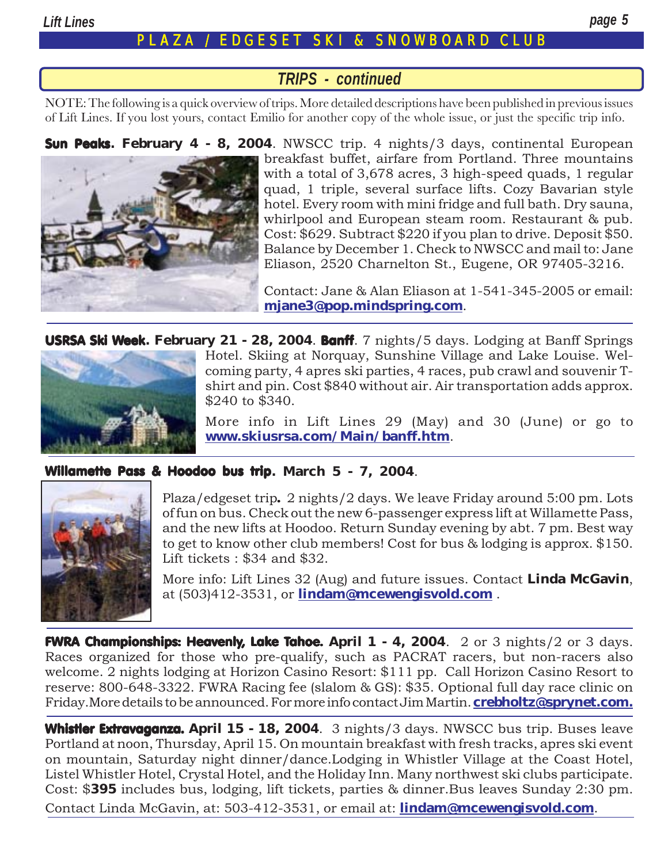#### **EDGESET SKI & SNOWBOARD CLUB**

#### *TRIPS - continued*

NOTE: The following is a quick overview of trips. More detailed descriptions have been published in previous issues of Lift Lines. If you lost yours, contact Emilio for another copy of the whole issue, or just the specific trip info.

Sun Peaks**[. February 4 - 8, 2004](http://www.sunpeaksresort.com/)**. NWSCC trip. 4 nights/3 days, continental European breakfast buffet, airfare from Portland. Three mountains with a total of 3,678 acres, 3 high-speed quads, 1 regular quad, 1 triple, several surface lifts. Cozy Bavarian style hotel. Every room with mini fridge and full bath. Dry sauna, whirlpool and European steam room. Restaurant & pub. Cost: \$629. Subtract \$220 if you plan to drive. Deposit \$50. Balance by December 1. Check to NWSCC and mail to: Jane Eliason, 2520 Charnelton St., Eugene, OR 97405-3216.

> Contact: Jane & Alan Eliason at 1-541-345-2005 or email: **[mjane3@pop.mindspring.com](mailto:mjane3@pop.mindspring.com)**.

USRSA Ski Week**. February 21 - 28, 2004**. Banff. 7 nights/5 days. Lodging at Banff Springs



Hotel. Skiing at Norquay, Sunshine Village and Lake Louise. Welcoming party, 4 apres ski parties, 4 races, pub crawl and souvenir Tshirt and pin. Cost \$840 without air. Air transportation adds approx. \$240 to \$340.

More info in Lift Lines 29 (May) and 30 (June) or go to **[www.skiusrsa.com/Main/banff.htm](http://www.skiusrsa.com/Main/banff.htm)**.

#### [Willamette Pass &](http://www.willamettepass.com/mountain/area.html) [Hoodoo bus trip](http://www.hoodoo.com/Ski%20Season%20front%20page.htm)**. March 5 - 7, 2004**.



Plaza/edgeset trip. 2 nights/2 days. We leave Friday around 5:00 pm. Lots of fun on bus. Check out the new 6-passenger express lift at Willamette Pass, and the new lifts at Hoodoo. Return Sunday evening by abt. 7 pm. Best way to get to know other club members! Cost for bus & lodging is approx. \$150. Lift tickets : \$34 and \$32.

More info: Lift Lines 32 (Aug) and future issues. Contact **Linda McGavin**, at (503)412-3531, or **[lindam@mcewengisvold.com](mailto:LindaM@mcewengisvold.com)** .

[FWRA Championships: Heavenly, Lake Tahoe.](http://www.fwra.com/Results/FWRA%20Championships.htm) **April 1 - 4, 2004**. 2 or 3 nights/2 or 3 days. Races organized for those who pre-qualify, such as PACRAT racers, but non-racers also welcome. 2 nights lodging at Horizon Casino Resort: \$111 pp. Call Horizon Casino Resort to reserve: 800-648-3322. FWRA Racing fee (slalom & GS): \$35. Optional full day race clinic on Friday.More details to be announced. For more info contact Jim Martin. **crebholtz@sprynet.com.**

[Whistler Extravaganza.](http://www.nwskiers.org/event/skibash/index.htm) April 15 - 18, 2004. 3 nights/3 days. NWSCC bus trip. Buses leave Portland at noon, Thursday, April 15. On mountain breakfast with fresh tracks, apres ski event on mountain, Saturday night dinner/dance.Lodging in Whistler Village at the Coast Hotel, Listel Whistler Hotel, Crystal Hotel, and the Holiday Inn. Many northwest ski clubs participate. Cost: \$**395** includes bus, lodging, lift tickets, parties & dinner.Bus leaves Sunday 2:30 pm. Contact Linda McGavin, at: 503-412-3531, or email at: **[lindam@mcewengisvold.com](mailto:LindaM@mcewengisvold.com)**.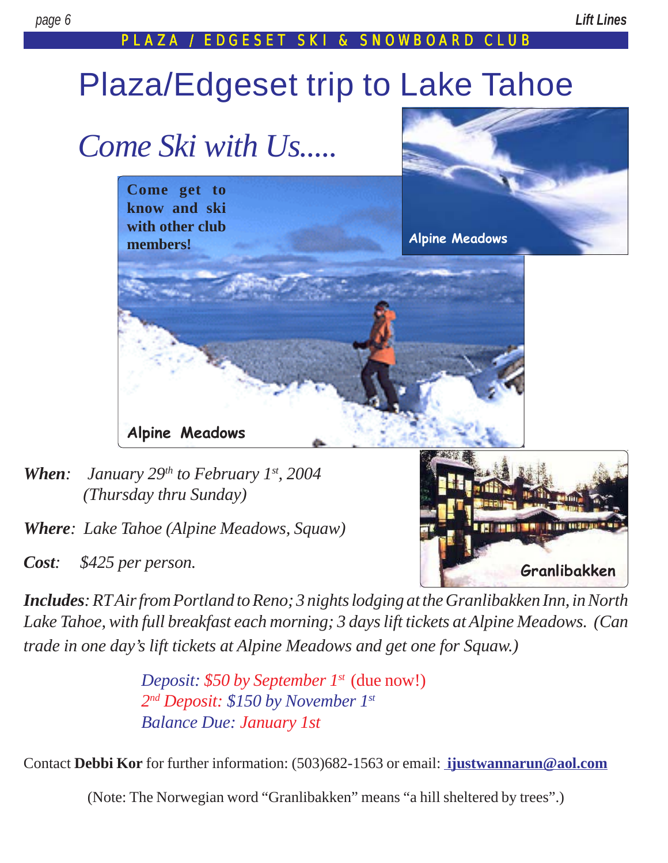**[Granlibakken](http://www.granlibakken.com/about/about_index.html)**

**THE REAL BRICE** 

#### PLAZA / EDGESET SKI & SNOWBOARD CLUB

# Plaza/Edgeset trip to Lake Tahoe



- *When: January 29th to February 1st, 2004 (Thursday thru Sunday)*
- *Where: Lake Tahoe [\(Alpine Meadows](http://www.skialpine.com/), Squaw)*
- *Cost: \$425 per person.*

*Includes: RT Air from Portland to Reno; 3 nights lodging at the [Granlibakken Inn](http://www.granlibakken.com/about/about_index.html), in North Lake Tahoe, with full breakfast each morning; 3 days lift tickets at Alpine Meadows. (Can trade in one day's lift tickets at Alpine Meadows and get one for Squaw.)*

> *Deposit: \$50 by September 1st* (due now!) *2nd Deposit: \$150 by November 1st Balance Due: January 1st*

Contact **[Debbi Kor](mailto:Ijustwannarun@aol.com)** for further information: (503)682-1563 or email: **[ijustwannarun@aol.com](mailto:Ijustwannarun@aol.com)**

(Note: The Norwegian word "Granlibakken" means "a hill sheltered by trees".)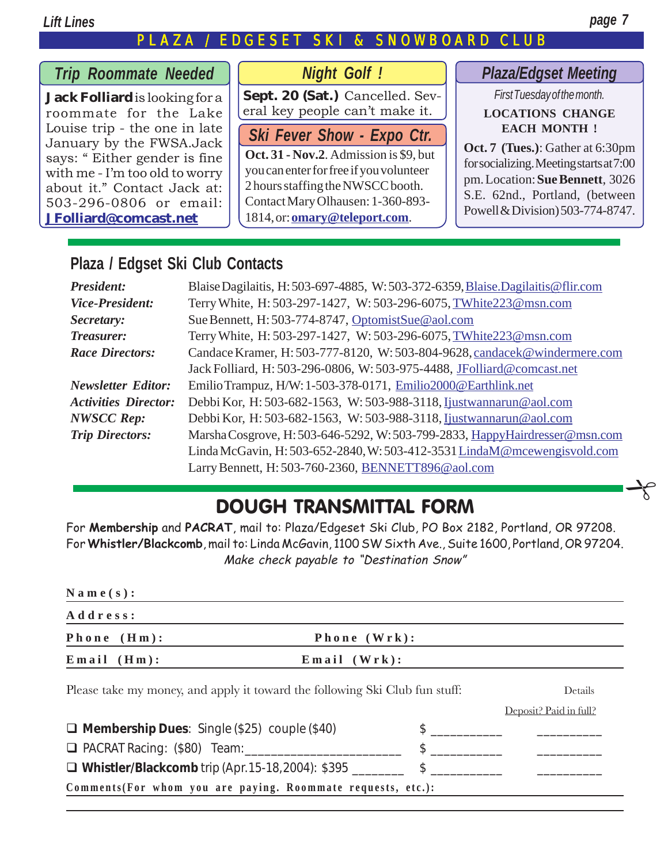#### *Lift Lines page 7*

## PLAZA / EDGESET SKI & SNOWBOARD CLUB

 $\rightarrow$ 

### *Trip Roommate Needed*

**Jack Folliard** is looking for a roommate for the Lake Louise trip - the one in late January by the FWSA.Jack says: "Either gender is fine with me - I'm too old to worry about it." Contact Jack at: 503-296-0806 or email: **[JFolliard@comcast.net](mailto:JFolliard@comcast.net)**

#### *Night Golf !*

**Sept. 20 (Sat.)** Cancelled. Several key people can't make it.

# *Ski Fever Show - Expo Ctr.*

**Oct. 31 - Nov.2**. Admission is \$9, but you can enter for free if you volunteer 2 hours staffing the NWSCC booth. Contact Mary Olhausen: 1-360-893- 1814, or: **[omary@teleport.com](mailto:omary@teleport.com)**.

#### *Plaza/Edgset Meeting*

*First Tuesday of the month.* **LOCATIONS CHANGE EACH MONTH !**

**Oct. 7 (Tues.)**: Gather at 6:30pm for socializing. Meeting starts at 7:00 pm. Location: **[Sue Bennett](mailto:OptomistSue@aol.com)**, 3026 S.E. 62nd., Portland, (between Powell & Division) 503-774-8747.

#### **Plaza / Edgset Ski Club Contacts**

| <b>President:</b>           | Blaise Dagilaitis, H: 503-697-4885, W: 503-372-6359, Blaise. Dagilaitis @flir.com |  |  |
|-----------------------------|-----------------------------------------------------------------------------------|--|--|
| <b>Vice-President:</b>      | Terry White, H: 503-297-1427, W: 503-296-6075, TWhite223@msn.com                  |  |  |
| Secretary:                  | Sue Bennett, H: 503-774-8747, OptomistSue@aol.com                                 |  |  |
| <b>Treasurer:</b>           | Terry White, H: 503-297-1427, W: 503-296-6075, TWhite223@msn.com                  |  |  |
| <b>Race Directors:</b>      | Candace Kramer, H: 503-777-8120, W: 503-804-9628, candacek@windermere.com         |  |  |
|                             | Jack Folliard, H: 503-296-0806, W: 503-975-4488, JFolliard@comcast.net            |  |  |
| <b>Newsletter Editor:</b>   | Emilio Trampuz, H/W: 1-503-378-0171, Emilio2000@Earthlink.net                     |  |  |
| <b>Activities Director:</b> | Debbi Kor, H: 503-682-1563, W: 503-988-3118, <i>Ijustwannarun@aol.com</i>         |  |  |
| <b>NWSCC Rep:</b>           | Debbi Kor, H: 503-682-1563, W: 503-988-3118, <i>Ijustwannarun@aol.com</i>         |  |  |
| <b>Trip Directors:</b>      | Marsha Cosgrove, H: 503-646-5292, W: 503-799-2833, HappyHairdresser@msn.com       |  |  |
|                             | Linda McGavin, H: 503-652-2840, W: 503-412-3531 LindaM@mcewengisvold.com          |  |  |
|                             | Larry Bennett, H: 503-760-2360, BENNETT896@aol.com                                |  |  |

# DOUGH TRANSMITTAL FORM

For **Membership** and **PACRAT**, mail to: Plaza/Edgeset Ski Club, PO Box 2182, Portland, OR 97208. For **Whistler/Blackcomb**, mail to: Linda McGavin, 1100 SW Sixth Ave., Suite 1600, Portland, OR 97204. Make check payable to "Destination Snow"

| $N$ a m e (s):                                                              |                    |               |                        |  |  |
|-----------------------------------------------------------------------------|--------------------|---------------|------------------------|--|--|
| Address:                                                                    |                    |               |                        |  |  |
| Phone $(Hm)$ :                                                              | Phone (Wrk):       |               |                        |  |  |
| $E$ mail $(Hm)$ :                                                           | $E$ mail $(Wrk)$ : |               |                        |  |  |
| Please take my money, and apply it toward the following Ski Club fun stuff: | Details            |               |                        |  |  |
|                                                                             |                    |               | Deposit? Paid in full? |  |  |
| $\Box$ Membership Dues: Single (\$25) couple (\$40)                         |                    | $\frac{1}{2}$ |                        |  |  |
|                                                                             |                    | $\frac{1}{2}$ |                        |  |  |
| □ Whistler/Blackcomb trip (Apr. 15-18, 2004): \$395                         |                    | $\frac{1}{2}$ |                        |  |  |

**Comments(For whom you are paying. Roommate requests, etc.):**